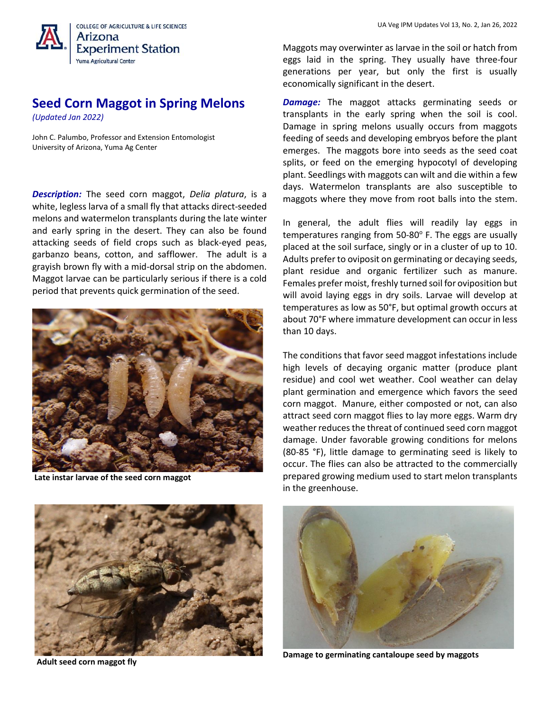

## **Seed Corn Maggot in Spring Melons**

*(Updated Jan 2022)*

John C. Palumbo, Professor and Extension Entomologist University of Arizona, Yuma Ag Center

*Description:* The seed corn maggot, *Delia platura*, is a white, legless larva of a small fly that attacks direct-seeded melons and watermelon transplants during the late winter and early spring in the desert. They can also be found attacking seeds of field crops such as black-eyed peas, garbanzo beans, cotton, and safflower. The adult is a grayish brown fly with a mid-dorsal strip on the abdomen. Maggot larvae can be particularly serious if there is a cold period that prevents quick germination of the seed.



**Late instar larvae of the seed corn maggot**



**Adult seed corn maggot fly**

Maggots may overwinter as larvae in the soil or hatch from eggs laid in the spring. They usually have three-four generations per year, but only the first is usually economically significant in the desert.

*Damage:* The maggot attacks germinating seeds or transplants in the early spring when the soil is cool. Damage in spring melons usually occurs from maggots feeding of seeds and developing embryos before the plant emerges. The maggots bore into seeds as the seed coat splits, or feed on the emerging hypocotyl of developing plant. Seedlings with maggots can wilt and die within a few days. Watermelon transplants are also susceptible to maggots where they move from root balls into the stem.

In general, the adult flies will readily lay eggs in temperatures ranging from 50-80° F. The eggs are usually placed at the soil surface, singly or in a cluster of up to 10. Adults prefer to oviposit on germinating or decaying seeds, plant residue and organic fertilizer such as manure. Females prefer moist, freshly turned soil for oviposition but will avoid laying eggs in dry soils. Larvae will develop at temperatures as low as 50°F, but optimal growth occurs at about 70°F where immature development can occur in less than 10 days.

The conditions that favor seed maggot infestations include high levels of decaying organic matter (produce plant residue) and cool wet weather. Cool weather can delay plant germination and emergence which favors the seed corn maggot. Manure, either composted or not, can also attract seed corn maggot flies to lay more eggs. Warm dry weather reduces the threat of continued seed corn maggot damage. Under favorable growing conditions for melons (80-85 °F), little damage to germinating seed is likely to occur. The flies can also be attracted to the commercially prepared growing medium used to start melon transplants in the greenhouse.



**Damage to germinating cantaloupe seed by maggots**